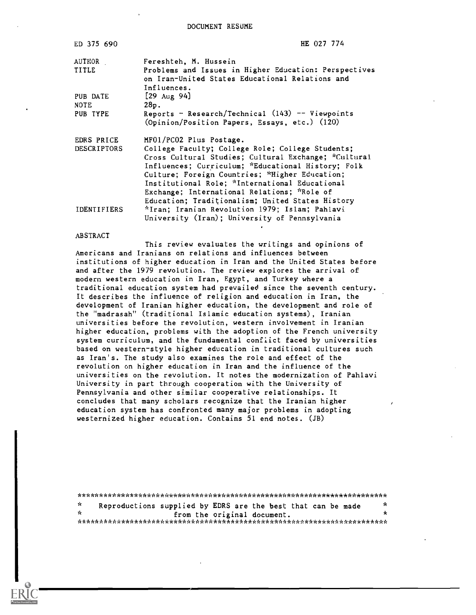DOCUMENT RESUME

| ED 375 690         | HE 027 774                                                                                                                                                                                                                                                                                                                                                            |
|--------------------|-----------------------------------------------------------------------------------------------------------------------------------------------------------------------------------------------------------------------------------------------------------------------------------------------------------------------------------------------------------------------|
| AUTHOR             | Fereshteh, M. Hussein                                                                                                                                                                                                                                                                                                                                                 |
| TITLE              | Problems and Issues in Higher Education: Perspectives<br>on Iran-United States Educational Relations and<br>Influences.                                                                                                                                                                                                                                               |
| PUB DATE           | $[29 \text{ Aug } 94]$                                                                                                                                                                                                                                                                                                                                                |
| NOTE               | 28p.                                                                                                                                                                                                                                                                                                                                                                  |
| PUB TYPE           | Reports - Research/Technical $(143)$ -- Viewpoints<br>(Opinion/Position Papers, Essays, etc.) (120)                                                                                                                                                                                                                                                                   |
| EDRS PRICE         | MF01/PC02 Plus Postage.                                                                                                                                                                                                                                                                                                                                               |
| <b>DESCRIPTORS</b> | College Faculty; College Role; College Students;<br>Cross Cultural Studies; Cultural Exchange; *Cultural<br>Influences; Curriculum; *Educational History; Folk<br>Culture; Foreign Countries; "Higher Education;<br>Institutional Role; *International Educational<br>Exchange; International Relations; "Role of<br>Education; Traditionalism; United States History |
| IDENTIFIERS        | *Iran; Iranian Revolution 1979; Islam; Pahlavi<br>University (Iran); University of Pennsylvania                                                                                                                                                                                                                                                                       |

#### ABSTRACT

This review evaluates the writings and opinions of Americans and Iranians on relations and influences between institutions of higher education in Iran and the United States before and after the 1979 revolution. The review explores the arrival of modern western education in Iran, Egypt, and Turkey where a traditional education system had prevailed since the seventh century. It describes the influence of religion and education in Iran, the development of Iranian higher education, the development and role of the "madrasah" (traditional Islamic education systems), Iranian universities before the revolution, western involvement in Iranian higher education, problems with the adoption of the French university system curriculum, and the fundamental conflict faced by universities based on western-style higher education in traditional cultures such as Iran's. The study also examines the role and effect of the revolution on higher education in Iran and the influence of the universities on the revolution. It notes the modernization of Pahlavi University in part through cooperation with the University of Pennsylvania and other similar cooperative relationships. It concludes that many scholars recognize that the Iranian higher education system has confronted many major problems in adopting westernized higher education. Contains 51 end notes. (JB)

| - St | Reproductions supplied by EDRS are the best that can be made |                             |  |  |  |  |  | - se |  |  |
|------|--------------------------------------------------------------|-----------------------------|--|--|--|--|--|------|--|--|
| - Se |                                                              | from the original document. |  |  |  |  |  |      |  |  |
|      |                                                              |                             |  |  |  |  |  |      |  |  |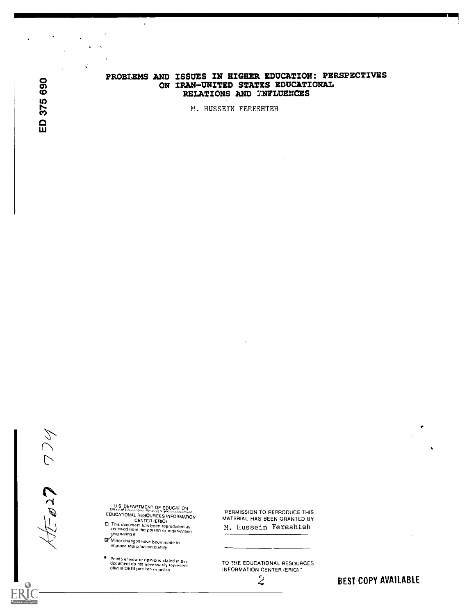# PROBLEMS AND ISSUES IN HIGHER EDUCATION: PERSPECTIVES ON IRAN-UNITED STATES EDUCATIONAL RELATIONS AND YNFLUENCES

N. HUSSEIN FERESHTEH

Ċ

 $\sim$   $\sim$ 

U S. DEPARTMENT OF EDUCATION<br>Office of Educational Hissourch and Improvement<br>EDUCATIONAL RESOURCES INFORMATION

CENTER IERICI This document hag been reproduced as received from the person or oroanfratIon yngmatingit

Minor changes have been made to<br>improve reproduction quality

 $\bullet$ 

Points of view or opinions stated in this<br>document do not nerossarily represent<br>official OERI position or policy

'PERMISSION TO REPRODUCE THIS MATERIAL HAS BEEN GRANTED BY M. Hussein Fereshteh

TO THE EDUCATIONAL RESOURCES INFORMATION CENTER (ERIC)."

 $\mathcal Z$  **BEST COPY AVAILABLE** 

 $\bullet$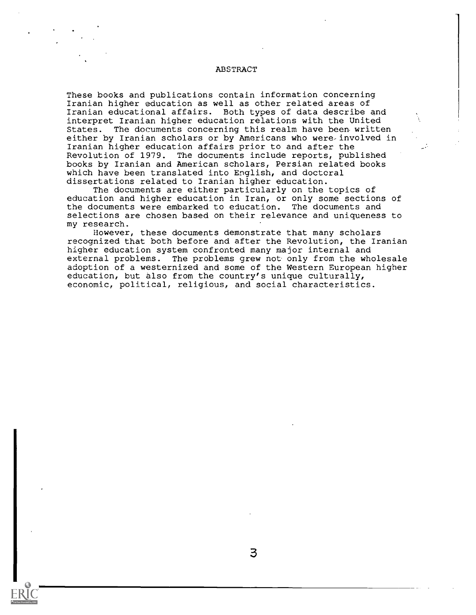# ABSTRACT

These books and publications contain information concerning Iranian higher education as well as other related areas of Iranian educational affairs. Both types of data describe and interpret Iranian higher education relations with the United States. The documents concerning this realm have been written either by Iranian scholars or by Americans who were-involved in Iranian higher education affairs prior to and after the Revolution of 1979. The documents include reports, published books by Iranian and American scholars, Persian related books which have been translated into English, and doctoral dissertations related to Iranian higher education.

The documents are either particularly on the topics of education and higher education in Iran, or only some sections of the documents were embarked to education. The documents and selections are chosen based on their relevance and uniqueness to my research.

However, these documents demonstrate that many scholars recognized that both before and after the Revolution, the Iranian higher education system confronted many major internal and external problems. The problems grew not only from the wholesale adoption of a westernized and some of the Western European higher education, but also from the country's unique culturally, economic, political, religious, and social characteristics.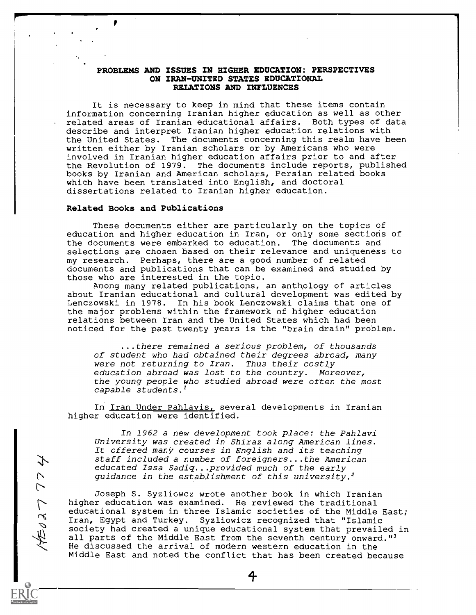## PROBLEMS AND ISSUES IN HIGHER EDUCATION: PERSPECTIVES ON IRAN-UNITED STATES EDUCATIONAL RELATIONS AND INFLUENCES

It is necessary to keep in mind that these items contain information concerning Iranian higher education as well as other related areas of Iranian educational affairs. Both types of data describe and interpret Iranian higher education relations with the United States. The documents concerning this realm have been written either by Iranian scholars or by Americans who were involved in Iranian higher education affairs prior to and after the Revolution of 1979. The documents include reports, published books by Iranian and American scholars, Persian related books which have been translated into English, and doctoral dissertations related to Iranian higher education.

### Related Books and Publications

おんとく

These documents either are particularly on the topics of education and higher education in Iran, or only some sections of the documents were embarked to education. The documents and selections are chosen based on their relevance and uniqueness to my research. Perhaps, there are a good number of related documents and publications that can be examined and studied by those who are interested in the topic.

Among many related publications, an anthology of articles about Iranian educational and cultural development was edited by Lenczowski in 1978. In his book Lenczowski claims that one of the major problems within the framework of higher education relations between Iran and the United States which had been noticed for the past twenty years is the "brain drain" problem.

...there remained a serious problem, of thousands of student who had obtained their degrees abroad, many were not returning to Iran. Thus their costly education abroad was lost to the country. Moreover, the young people who studied abroad were often the most capable students.<sup>1</sup>

In Iran Under Pahlavis, several developments in Iranian higher education were identified.

In 1962 a new development took place: the Pahlavi University was created in Shiraz along American lines. It offered many courses in English and its teaching staff included a number of foreigners...the American educated Issa Sadiq...provided much of the early guidance in the establishment of this university.<sup>2</sup>

Joseph S. Syzliowcz wrote another book in which Iranian higher education was examined. He reviewed the traditional educational system in three Islamic societies of the Middle East; Iran, Egypt and Turkey. Syzliowicz recognized that "Islamic society had created a unique educational system that prevailed in all parts of the Middle East from the seventh century onward."<sup>3</sup> He discussed the arrival of modern western education in the Middle East and noted the conflict that has been created because

1-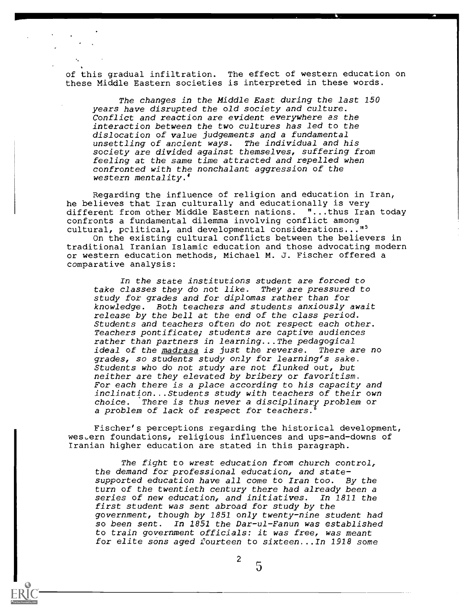of this gradual infiltration. The effect of western education on these Middle Eastern societies is interpreted in these words.

The changes in the Middle East during the last 150 years have disrupted the old society and culture. Conflict and reaction are evident everywhere as the interaction between the two cultures has led to the dislocation of value judgements and a fundamental unsettling of ancient ways. The individual and his society are divided against themselves, suffering from feeling at the same time attracted and repelled when confronted with the nonchalant aggression of the western mentality.'

Regarding the influence of religion and education in Iran, he believes that Iran culturally and educationally is very different from other Middle Eastern nations. "...thus Iran today confronts a fundamental dilemma involving conflict among cultural, pclitical, and developmental considerations..."<sup>5</sup>

On the existing cultural conflicts between the believers in traditional Iranian Islamic education and those advocating modern or western education methods, Michael M. J. Fischer offered a comparative analysis:

In the state institutions student are forced to take classes they do not like. They are pressured to study for grades and for diplomas rather than for knowledge. Both teachers and students anxiously await release by the bell at the end of the class period. Students and teachers often do not respect each other. Teachers pontificate; students are captive audiences rather than partners in learning...The pedagogical<br>ideal of the madrasa is just the reverse. There are no ideal of the madrasa is just the reverse. grades, so students study only for learning's sake. Students who do not study are not flunked out, but neither are they elevated by bribery or favoritism. For each there is a place according to his capacity and inclination...Students study with teachers of their own choice. There is thus never a disciplinary problem or a problem of lack of respect for teachers.

Fischer's perceptions regarding the historical development, western foundations, religious influences and ups-and-downs of Iranian higher education are stated in this paragraph.

The fight to wrest education from church control, the demand for professional education, and statesupported education have all come to Iran too. By the turn of the twentieth century there had already been a series of new education, and initiatives. In 1811 the first student was sent abroad for study by the government, though by 1851 only twenty-nine student had so been sent. In 1851 the Dar-ul-Fanun was established to train government officials: it was free, was meant for elite sons aged fourteen to sixteen...In 1918 some

 $^2$  5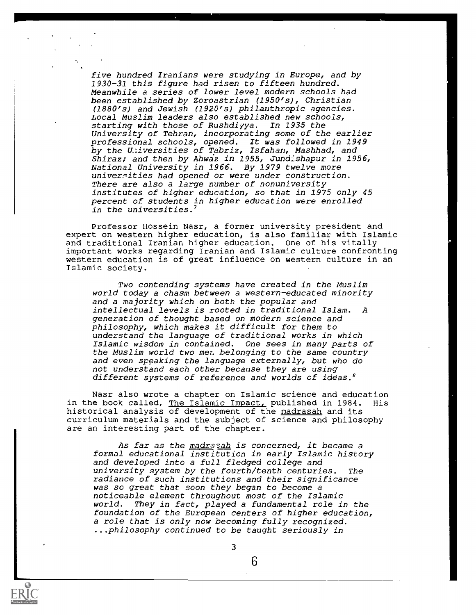five hundred Iranians were studying in Europe, and by 1930-31 this figure had risen to fifteen hundred. Meanwhile a series of lower level modern schools had been established by Zoroastrian (1950's), Christian (1880's) and Jewish (1920's) philanthropic agencies. Local Muslim leaders also established new schools,<br>starting with those of Rushdiyya. In 1935 the starting with those of Rushdiyya. University of Tehran, incorporating some of the earlier professional schools, opened. It was followed in 1949 by the U.:iversities of Tabriz, Isfahan, Mashhad, and Shiraz; and then by Ahwaz in 1955, Jundishapur in 1956, National University in 1966. By 1979 twelve more universities had opened or were under construction. There are also a large number of nonuniversity institutes of higher education, so that in 1975 only 45 percent of students in higher education were enrolled in the universities.'

Professor Hossein Nasr, a former university president and expert on western higher education, is also familiar with Islamic and traditional Iranian higher education. One of his vitally important works regarding Iranian and Islamic culture confronting western education is of great influence on western culture in an Islamic society.

Two contending systems have created in the Muslim world today a chasm between a western-educated minority and a majority which on both the popular and intellectual levels is rooted in traditional Islam. A generation of thought based on modern science and philosophy, which makes it difficult for them to understand the language of traditional works in which Islamic wisdom in contained. One sees in many parts of the Muslim world two men belonging to the same country and even speaking the language externally, but who do not understand each other because they are using different systems of reference and worlds of ideas.<sup>8</sup>

Nasr also wrote a chapter on Islamic science and education<br>he book called, The Islamic Impact, published in 1984. His in the book called, The Islamic Impact, published in 1984. historical analysis of development of the madrasah and its curriculum materials and the subject of science and philosophy are an interesting part of the chapter.

As far as the madrasah is concerned, it became a formal educational institution in early Islamic history and developed into a full fledged college and university system by the fourth/tenth centuries. The radiance of such institutions and their significance was so great that soon they began to become a noticeable element throughout most of the Islamic world. They in fact, played a fundamental role in the foundation of the European centers of higher education, a role that is only now becoming fully recognized. ...philosophy continued to be taught seriously in



3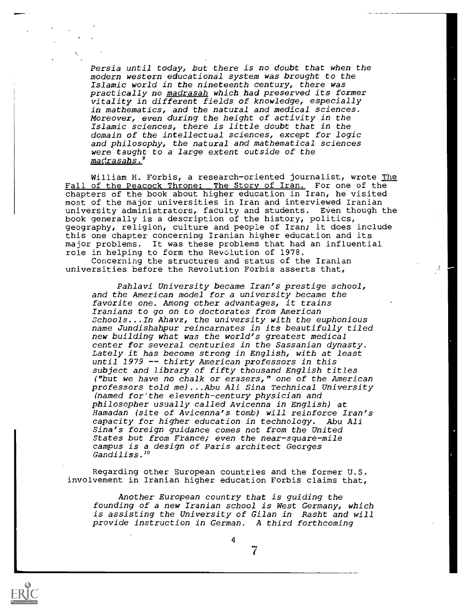Persia until today, but there is no doubt that when the modern western educational system was brought to the Islamic world in the nineteenth century, there was practically no madrasah which had preserved its former vitality in different fields of knowledge, especially in mathematics, and the natural and medical sciences. Moreover, even during the height of activity in the Islamic sciences, there is little doubt that in the domain of the intellectual sciences, except for logic and philosophy, the natural and mathematical sciences were taught to a large extent outside of the madrasahs.

William H. Forbis, a research-oriented journalist, wrote The Fall of the Peacock Throne: The Story of Iran. For one of the chapters of the book about higher education in Iran, he visited most of the major universities in Iran and interviewed Iranian university administrators, faculty and students. Even though the book generally is a description of the history, politics, geography, religion, culture and people of Iran; it does include this one chapter concerning Iranian higher education and its major problems. It was these problems that had an influential role in helping to form the Revolution of 1978.

 $\mathcal{A}^{\prime}$ 

Concerning the structures and status of the Iranian universities before the Revolution Forbis asserts that,

Pahlavi University became Iran's prestige school, and the American model for a university became the favorite one. Among other advantages, it trains Iranians to go on to doctorates from American Schools...In Ahavz, the university with the euphonious name Jundishahpur reincarnates in its beautifully tiled new building what was the world's greatest medical center for several centuries in the Sassanian dynasty. Lately it has become strong in English, with at least until 1979 -- thirty American professors in this subject and library of fifty thousand English titles ("but we have no chalk or erasers," one of the American professors told me)...Abu Ali Sina Technical University (named for'the eleventh-century physician and philosopher usually called Avicenna in English) at Hamadan (site of Avicenna's tomb) will reinforce Iran's capacity for higher education in technology. Abu Ali Sina's foreign guidance comes not from the United States but from France; even the near-square-mile campus is a design of Paris architect Georges Gandiliss.<sup>10</sup>

Regarding other European countries and the former U.S. involvement in Iranian higher education Forbis claims that,

Another European country that is guiding the founding of a new Iranian school is West Germany, which is assisting the University of Gilan in Rasht and will provide instruction in German. A third forthcoming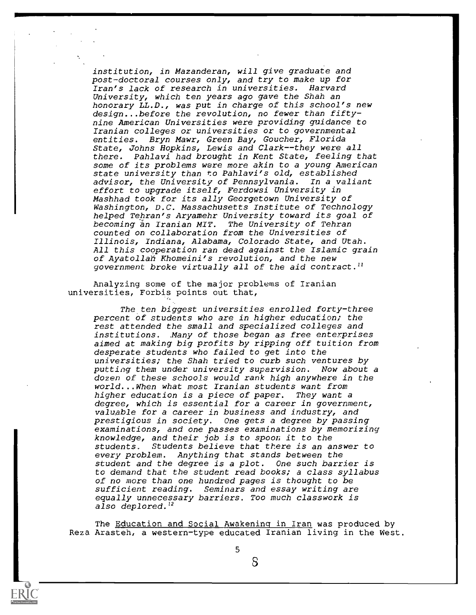institution, in Mazanderan, will give graduate and post-doctoral courses only, and try to make up for Iran's lack of research in universities. Harvard University, which ten years ago gave the Shah an honorary LL.D., was put in charge of this school's new design...before the revolution, no fewer than fiftynine American Universities were providing guidance to Iranian colleges or universities or to governmental entities. Bryn Mawr, Green Bay, Goucher, Florida State, Johns Hopkins, Lewis and Clark--they were all there. Pahlavi had brought in Kent State, feeling that some of its problems were more akin to a young American state university than to Pahlavi's old, established advisor, the University of Pennsylvania. In a valiant effort to upgrade itself, Ferdowsi University in Mashhad took for its ally Georgetown University of Washington, D.C. Massachusetts Institute of Technology helped Tehran's Aryamehr University toward its goal of<br>becoming ăn Iranian MIT. The University of Tehran becoming an Iranian MIT. counted on collaboration from the Universities of Illinois, Indiana, Alabama, Colorado State, and Utah. All this cooperation ran dead against the Islamic grain of Ayatollah Khomeini's revolution, and the new government broke virtually all of the aid contract.<sup>11</sup>

Analyzing some of the major problems of Iranian universities, Forbis points out that,

The ten biggest universities enrolled forty-three percent of students who are in higher education; the rest attended the small and specialized colleges and institutions. Many of those began as free enterprises aimed at making big profits by ripping off tuition from desperate students who failed to get into the universities; the Shah tried to curb such ventures by putting them under university supervision. Now about a dozen of these schools would rank high anywhere in the world...When what most Iranian students want from higher education is a piece of paper. They want a degree, which is essential for a career in government, valuable for a career in business and industry, and prestigious in society. One gets a degree by passing examinations, and one passes examinations by memorizing knowledge, and their job is to spoon it to the students. Students believe that there is an answer to every problem. Anything that stands between the student and the degree is a plot. One such barrier is to demand that the student read books; a class syllabus of no more than one hundred pages is thought to be sufficient reading. Seminars and essay writing are equally unnecessary harriers. Too much classwork is also deplored.<sup>12</sup>

The Education and Social Awakening in Iran was produced by Reza Arasteh, a western-type educated Iranian living in the West.



5

 $S$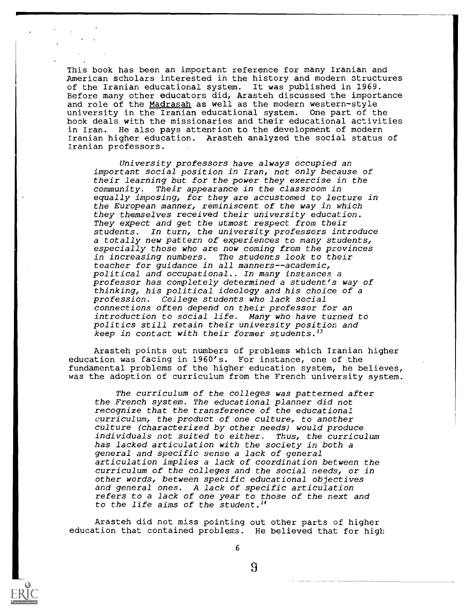This book has been an important reference for many Iranian and American scholars interested in the history and modern structures of the Iranian educational system. It was published in 1969. Before many other educators did, Arasteh discussed the importance and role of the Madrasah as well as the modern western-style university in the Iranian educational system. One part of the book deals with the missionaries and their educational activities in Iran. He also pays attention to the development of modern Iranian higher education. Arasteh analyzed the social status of Iranian professors.

University professors have always occupied an important social position in Iran, not only because of their learning but for the power they exercise in the community. Their appearance in the classroom in equally imposing, for they are accustomed to lecture in the European manner, reminiscent of the way in which they themselves received their university education. They expect and get the utmost respect from their<br>students. In turn, the university professors int In turn, the university professors introduce a totally new pattern of experiences to many students, especially those who are now coming from the provinces in increasing numbers. The students look to their teacher for guidance in all manners--academic, political and occupational.. In many instances a professor has completely determined a student's way of thinking, his political ideology and his choice of a profession. College students who lack social connections often depend on their professor for an introduction to social life. Many who have turned to politics still retain their university position and keep in contact with their former students.<sup>13</sup>

Arasteh points out numbers of problems which Iranian higher education was facing in 1960's. For instance, one of the fundamental problems of the higher education system, he believes, was the adoption of curriculum from the French university system.

The curriculum of the colleges was patterned after the French system. The educational planner did not recognize that the transference of the educational curriculum, the product of one culture, to another culture (characterized by other needs) would produce individuals not suited to either. Thus, the curriculum has lacked articulation with the society in both a general and specific sense a lack of general articulation implies a lack of coordination between the curriculum of the colleges and the social needs, or in other words, between specific educational objectives and general ones. A lack of specific articulation refers to a lack of one year to those of the next and to the life aims of the student.<sup>14</sup>

Arasteh did not miss pointing out other parts of higher education that contained problems. He believed that for high



6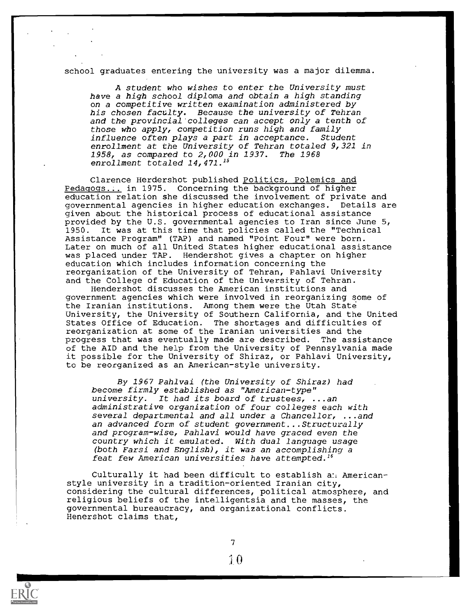school graduates entering the university was a major dilemma.

A student who wishes to enter the University must have a high school diploma and obtain a high standing on a competitive written examination administered by his chosen faculty. Because the university of Tehran and the provincial colleges can accept only a tenth of those who apply, competition runs high and family influence often plays a part in acceptance. Student enrollment at the University of Tehran totaled 9,321 in 1958, as compared to 2,000 in 1937. The 1968 enrollment totaled 14,471.<sup>15</sup>

Clarence Herdershot published Politics, Polemics and Pedagogs... in 1975. Concerning the background of higher education relation she discussed the involvement of private and governmental agencies in higher education exchanges. Details are given about the historical process of educational assistance provided by the U.S. governmental agencies to Iran since June 5, 1950. It was at this time that policies called the "Technical Assistance Program" (TAP) and named "Point Four" were born. Later on much of all United States higher educational assistance was placed under TAP. Hendershot gives a chapter on higher education which includes information concerning the reorganization of the University of Tehran, Pahlavi University and the College of Education of the University of Tehran.

Hendershot discusses the American institutions and government agencies which were involved in reorganizing some of the Iranian institutions. Among them were the Utah State University, the University of Southern California, and the United States Office of Education. The shortages and difficulties of reorganization at some of the Iranian universities and the progress that was eventually made are described. The assistance of the AID and the help from the University of Pennsylvania made it possible for the University of Shiraz, or Pahlavi University, to be reorganized as an American-style university.

By 1967 Pahlvai (the University of Shiraz) had become firmly established as "American-type" university. It had its board of trustees, ...an administrative organization of four colleges each with several departmental and all under a Chancellor, ...and an advanced form of student government...Structurally and program-wise, Pahlavi would have graced even the country which it emulated. With dual language usage (both Farsi and English), it was an accomplishing a feat few American universities have attempted.<sup>16</sup>

Culturally it had been difficult to establish and Americanstyle university in a tradition-oriented Iranian city, considering the cultural differences, political atmosphere, and religious beliefs of the intelligentsia and the masses, the governmental bureaucracy, and organizational conflicts. Henershot claims that,

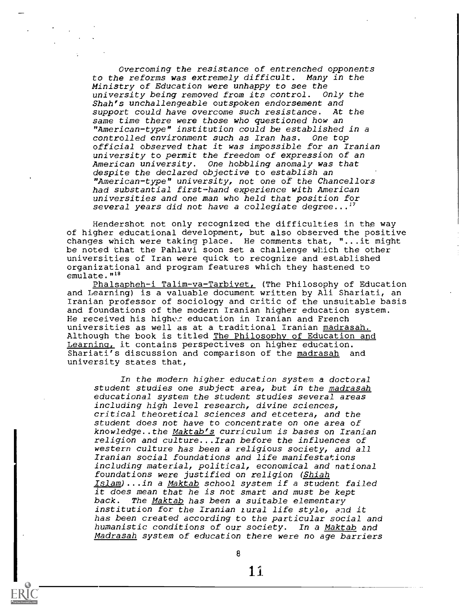Overcoming the resistance of entrenched opponents to the reforms was extremely difficult. Many in the Ministry of Education were unhappy to see the university being removed from its control. Only the Shah's unchallengeable outspoken endorsement and support could have overcome such resistance. At the same time there were those who questioned how an "American-type" institution could be established in a controlled environment such as Iran has. One top official observed that it was impossible for an Iranian university to permit the freedom of expression of an American university. One hobbling anomaly was that despite the declared objective to establish an "American-type" university, not one of the Chancellors had substantial first-hand experience with American universities and one man who held that position for several years did not have a collegiate degree... $^1$ 

Hendershot not only recognized the difficulties in the way of higher educational development, but also observed the positive changes which were taking place. He comments that, "...it might be noted that the Pahlavi soon set a challenge which the other universities of Iran were quick to recognize and established organizational and program features which they hastened to emulate."<sup>18</sup>

Phalsapheh-i Talim-va-Tarbiyet, (The Philosophy of Education and Learning) is a valuable document written by Ali Shariati, an Iranian professor of sociology and critic of the unsuitable basis and foundations of the modern Iranian higher education system. He received his higher education in Iranian and French universities as well as at a traditional Iranian madrasah. Although the book is titled The Philosophy of Education and Learning, it contains perspectives on higher education. Shariati's discussion and comparison of the madrasah and university states that,

In the modern higher education system a doctoral student studies one subject area, but in the madrasah educational system the student studies several areas including high level research, divine sciences, critical theoretical sciences and etcetera, and the student does not have to concentrate on one area of knowledge..the Maktab's curriculum is bases on Iranian religion and culture...Iran before the influences of western culture has been a religious society, and all Iranian social foundations and life manifestations including material, political, economical and national foundations were justified on religion (Shiah Islam)...in a Maktab school system if a student failed it does mean that he is not smart and must be kept back. The Maktab has been a suitable elementary institution for the Iranian iural life style, and it has been created according to the particular social and humanistic conditions of our society. In a Maktab and Madrasah system of education there were no age barriers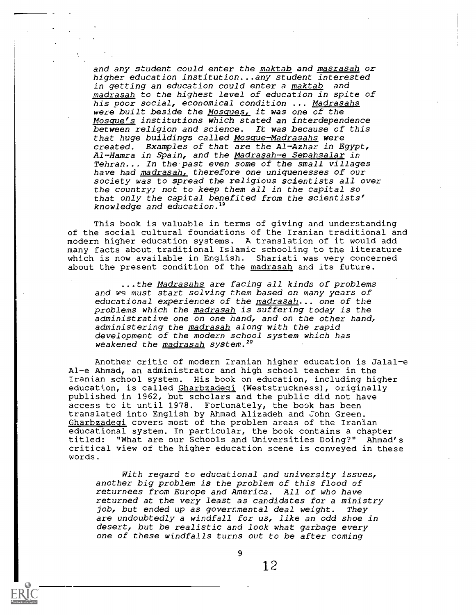and any student could enter the maktab and masrasah or higher education institution...any student interested in getting an education could enter a maktab and madrasah to the highest level of education in spite of his poor social, economical condition ... Madrasahs were built beside the Mosques, it was one of the Mosque's institutions which stated an interdependence between religion and science. It was because of this that huge buildings called Mosque-Madrasahs were created. Examples of that are the Al-Azhar in Egypt, Al-Hamra in Spain, and the Madrasah-e Sepahsalar in Tehran... In the past even some of the small villages have had madrasah, therefore one uniquenesses of our society was to spread the religious scientists all over the country; not to keep them all in the capital so that only the capital benefited from the scientists' knowledge and education.19

This book is valuable in terms of giving and understanding of the social cultural foundations of the Iranian traditional and modern higher education systems. A translation of it would add many facts about traditional Islamic schooling to the literature which is now available in English. Shariati was very concerned about the present condition of the madrasah and its future.

...the Madrasahs are facing all kinds of problems and we must start solving them based on many years of educational experiences of the madrasah... one of the problems which the madrasah is suffering today is the administrative one on one hand, and on the other hand, administering the madrasah along with the rapid development of the modern school system which has weakened the <u>madrasah</u> sy**s**tem.<sup>20</sup>

Another critic of modern Iranian higher education is Jalal-e Al-e Ahmad, an administrator and high school teacher in the Iranian school system. His book on education, including higher education, is called Gharbzadeqi (Weststruckness), originally published in 1962, but scholars and the public did not have access to it until 1978. Fortunately, the book has been translated into English by Ahmad Alizadeh and John Green. Gharbzadeqi covers most of the problem areas of the Iranian educational system. In particular, the book contains a chapter "What are our Schools and Universities Doing?" Ahmad's critical view of the higher education scene is conveyed in these words.

With regard to educational and university issues, another big problem is the problem of this flood of returnees from Europe and America. All of who have returned at the very least as candidates for a ministry job, but ended up as governmental deal weight. They are undoubtedly a windfall for us, like an odd shoe in desert, but be realistic and look what garbage every one of these windfalls turns out to be after coming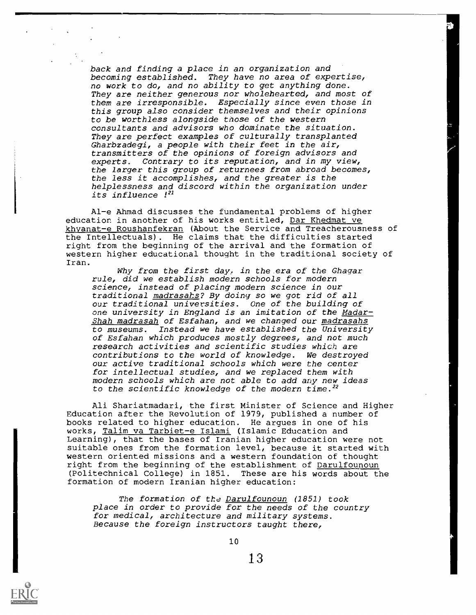back and finding a place in an organization and becoming established. They have no area of expertise, no work to do, and no ability to get anything done. They are neither generous nor wholehearted, and most of them are irresponsible. Especially since even those in this group also consider themselves and their opinions to be worthless alongside those of the western consultants and advisors who dominate the situation. They are perfect examples of culturally transplanted Gharbzadegi, a people with their feet in the air, transmitters of the opinions of foreign advisors and experts. Contrary to its reputation, and in my view, the larger this group of returnees from abroad becomes, the less it accomplishes, and the greater is the helplessness and discord within the organization under its influence 121

Al-e Ahmad discusses the fundamental problems of higher education in another of his works entitled, Dar Khedmat ve khvanat-e Roushanfekran (About the Service and Treacherousness of the Intellectuals). He claims that the difficulties started right from the beginning of the arrival and the formation of western higher educational thought in the traditional society of Iran.

Why from the first day, in the era of the Ghagar rule, did we establish modern schools for modern science, instead of placing modern science in our traditional madrasahs? By doing so we got rid of all our traditional universities. One of the building of one university in England is an imitation of the Madar-Shah madrasah of Esfahan, and we changed our madrasahs to museums. Instead we have established the University of Esfahan which produces mostly degrees, and not much research activities and scientific studies which are contributions to the world of knowledge. We destroyed our active traditional schools which were the center for intellectual studies, and we replaced them with modern schools which are not able to add any new ideas to the scientific knowledge of the modern time.<sup>22</sup>

Ali Shariatmadari, the first Minister of Science and Higher Education after the Revolution of 1979, published a number of books related to higher education. He argues in one of his works, Talim va Tarbiet-e Islami (Islamic Education and Learning), that the bases of Iranian higher education were not suitable ones from the formation level, because it started with western oriented missions and a western foundation of thought right from the beginning of the establishment of Darulfounoun (Politechnical College) in 1851. These are his words about the formation of modern Iranian higher education:

The formation of the Darulfounoun (1851) took place in order to provide for the needs of the country for medical, architecture and military systems. Because the foreign instructors taught there,

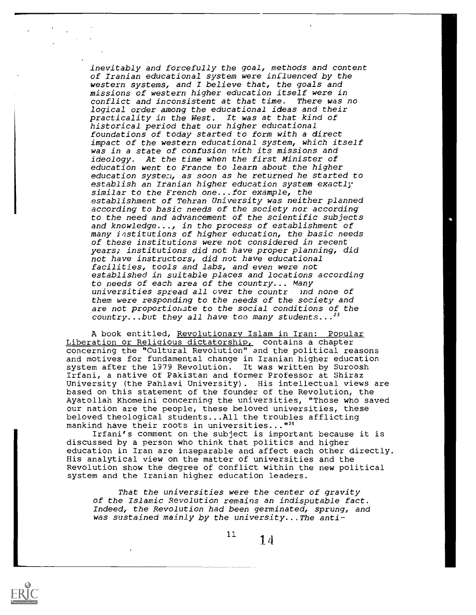inevitably and forcefully the goal, methods and content of Iranian educational system were influenced by the western systems, and I believe that, the goals and missions of western higher education itself were in conflict and inconsistent at that time. There was no logical order among the educational ideas and their practicality in the West. It was at that kind of historical period that our higher educational foundations of today started to form with a direct impact of the western educational system, which itself was in a state of confusion with its missions and ideology. At the time when the first Minister of education went to France to learn about the higher education system, as soon as he returned he started to establish an Iranian higher education system exactly similar to the French one...for example, the establishment of Tehran University was neither planned according to basic needs of the society nor according to the need and advancement of the scientific subjects and knowledge..., in the process of establishment of many institutions of higher education, the basic needs of these institutions were not considered in recent years; institutions did not have proper planning, did not have instructors, did not have educational facilities, tools and labs, and even were not established in suitable places and locations according to needs of each area of the country... Many universities spread all over the countre and none of them were responding to the needs of the society and are not proportiohate to the social conditions of the country...but they all have too many students... $^{23}$ 

A book entitled, Revolutionary Islam in Iran: Popular Liberation or Religious dictatorship, contains a chapter concerning the "Cultural Revolution" and the political reasons and motives for fundamental change in Iranian higher education system after the 1979 Revolution. It was written by Suroosh Irfani, a native of Pakistan and former Professor at Shiraz University (the Pahlavi University). His intellectual views are based on this statement of the founder of the Revolution, the Ayatollah Khomeini concerning the universities, "Those who saved our nation are the people, these beloved universities, these beloved theological students...All the troubles afflicting mankind have their roots in universities..."<sup>24</sup>

Irfani's comment on the subject is important because it is discussed by a person who think that politics and higher education in Iran are inseparable and affect each other directly. His analytical view on the matter of universities and the Revolution show the degree of conflict within the new political system and the Iranian higher education leaders.

That the universities were the center of gravity of the Islamic Revolution remains an indisputable fact. Indeed, the Revolution had been germinated, sprung, and was sustained mainly by the university...The anti-

11

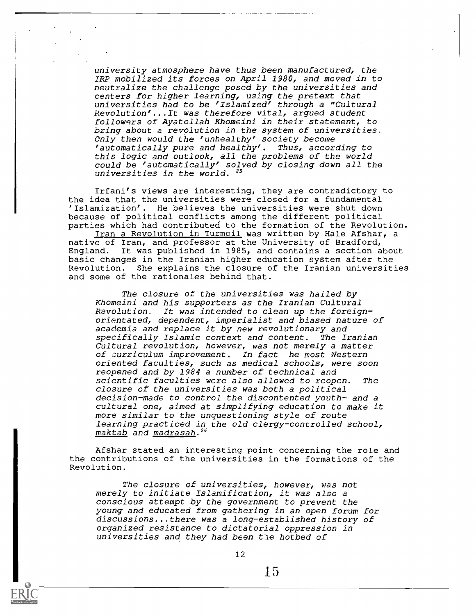university atmosphere have thus been manufactured, the IRP mobilized its forces on April 1980, and moved in to neutralize the challenge posed by the universities and centers for higher learning, using the pretext that universities had to be 'Islamized' through a "Cultural Revolution'...It was therefore vital, argued student followers of Ayatollah Khomeini in their statement, to bring about a revolution in the system of universities. Only then would the 'unhealthy' society become 'automatically pure and healthy'. Thus, according to this logic and outlook, all the problems of the world could be 'automatically' solved by closing down all the universities in the world. 25

Irfani's views are interesting, they are contradictory to the idea that the universities were closed for a fundamental 'Islamization'. He believes the universities were shut down because of political conflicts among the different political parties which had contributed to the formation of the Revolution.

Iran a Revolution in Turmoil was written by Hale Afshar, a native of Iran, and professor at the University of Bradford, England. It was published in 1985, and contains a section about basic changes in the Iranian higher education system after the Revolution. She explains the closure of the Iranian universities and some of the rationales behind that.

The closure of the universities was hailed by Khomeini and his supporters as the Iranian Cultural Revolution. It was intended to clean up the foreignorientated, dependent, imperialist and biased nature of academia and replace it by new revolutionary and specifically Islamic context and content. The Iranian Cultural revolution, however, was not merely a matter of curriculum improvement. In fact he most Western oriented faculties, such as medical schools, were soon reopened and by 1984 a number of technical and scientific faculties were also allowed to reopen. The closure of the universities was both a political decision-made to control the discontented youth- and a cultural one, aimed at simplifying education to make it more similar to the unquestioning style of route learning practiced in the old clergy-controlled school, maktab and madrasah.<sup>26</sup>

Afshar stated an interesting point concerning the role and the contributions of the universities in the formations of the Revolution.

The closure of universities, however, was not merely to initiate Islamification, it was also a conscious attempt by the government to prevent the young and educated from gathering in an open forum for discussions...there was a long-established history of organized resistance to dictatorial oppression in universities and they had been the hotbed of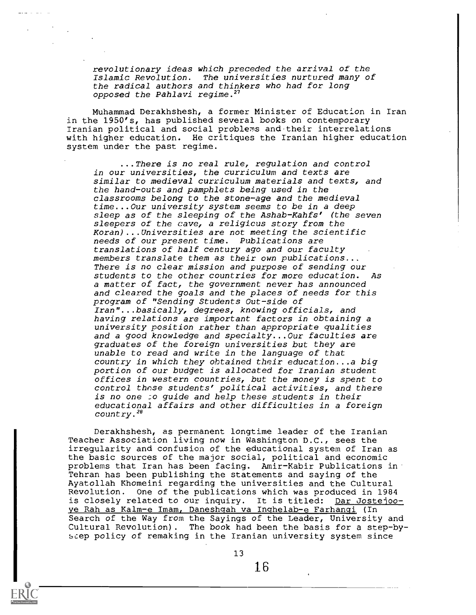revolutionary ideas which preceded the arrival of the Islamic Revolution. the radical authors and thinkers who had for long opposed the Pahlavi regime.<sup>27</sup> The universities nurtured many of

Muhammad Derakhshesh, a former Minister of Education in Iran in the 1950's, has published several books on contemporary Iranian political and social problems and their interrelations with higher education. He critiques the Iranian higher education system under the past regime.

...There is no real rule, regulation and control in our universities, the curriculum and texts are similar to medieval curriculum materials and texts, and the hand-outs and pamphlets being used in the classrooms belong to the stone-age and the medieval time...Our university system seems to be in a deep sleep as of the sleeping of the Ashab-Kahfs' (the seven sleepers of the cave, a religicus story from the Koran)... Universities are not meeting the scientific needs of our present time. Publications are translations of half century ago and our faculty members translate them as their own publications... There is no clear mission and purpose of sending our students to the other countries for more education. As a matter of fact, the government never has announced and cleared the goals and the places of needs for this program of "Sending Students Out-side of Iran"...basically, degrees, knowing officials, and having relations are important factors in obtaining a university position rather than appropriate qualities and a good knowledge and specialty...Our faculties are graduates of the foreign universities but they are unable to read and write in the language of that country in which they obtained their education...a big portion of our budget is allocated for Iranian student offices in western countries, but the money is spent to control these students' political activities, and there is no one :o guide and help these students in their educational affairs and other difficulties in a foreign country.28

Derakhshesh, as permanent longtime leader of the Iranian Teacher Association living now in Washington D.C., sees the irregularity and confusion of the educational system of Iran as the basic sources of the major social, political and economic problems that Iran has been facing. Amir-Kabir Publications in Tehran has been publishing the statements and saying of the Ayatollah Khomeini regarding the universities and the Cultural Revolution. One of the publications which was produced in 1984 is closely related to our inquiry. It is titled: Dar Jostejooye Rah as Kalm-e Imam, Daneshqah va Inqhelab-e Farhanqi (In Search of the Way from the Sayings of the Leader, University and Cultural Revolution). The book had been the basis for a step-byseep policy of remaking in the Iranian university system since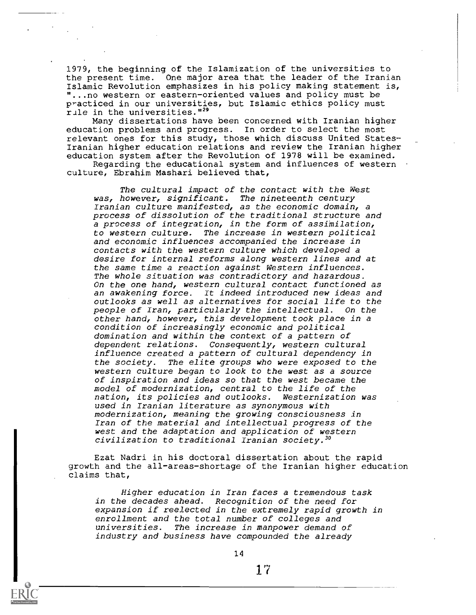1979, the beginning of the Islamization of the universities to the present time. One major area that the leader of the Iranian Islamic Revolution emphasizes in his policy making statement is, "...no western or eastern-oriented values and policy must be practiced in our universities, but Islamic ethics policy must rule in the universities."<sup>29</sup>

Many dissertations have been concerned with Iranian higher education problems and progress. In order to select the most relevant ones for this study, those which discuss United States-Iranian higher education relations and review the Iranian higher education system after the Revolution of 1978 will be examined.

Regarding the educational system and influences of western culture, Ebrahim Mashari believed that,

The cultural impact of the contact with the West was, however, significant. The nineteenth century Iranian culture manifested, as the economic domain, a process of dissolution of the traditional structure and a process of integration, in the form of assimilation, to western culture. The increase in western political and economic influences accompanied the increase in contacts with the western culture which developed a desire for internal reforms along western lines and at the same time a reaction against Western influences. The whole situation was contradictory and hazardous. On the one hand, western cultural contact functioned as an awakening force. It indeed introduced new ideas and outlooks as well as alternatives for social life to the people of Iran, particularly the intellectual. On the other hand, however, this development took place in a condition of increasingly economic and political domination and within the context of a pattern of dependent relations. Consequently, western cultural influence created a pattern of cultural dependency in the society. The elite groups who were exposed to the western culture began to look to the west as a source of inspiration and ideas so that the west became the model of modernization, central to the life of the nation, its policies and outlooks. Westernization was used in Iranian literature as synonymous with modernization, meaning the growing consciousness in Iran of the material and intellectual progress of the west and the adaptation and application of western civilization to traditional Iranian society."

Ezat Nadri in his doctoral dissertation about the rapid growth and the all-areas-shortage of the Iranian higher education claims that,

Higher education in Iran faces a tremendous task in the decades ahead. Recognition of the need for expansion if reelected in the extremely rapid growth in enrollment and the total number of colleges and universities. The increase in manpower demand of industry and business have compounded the already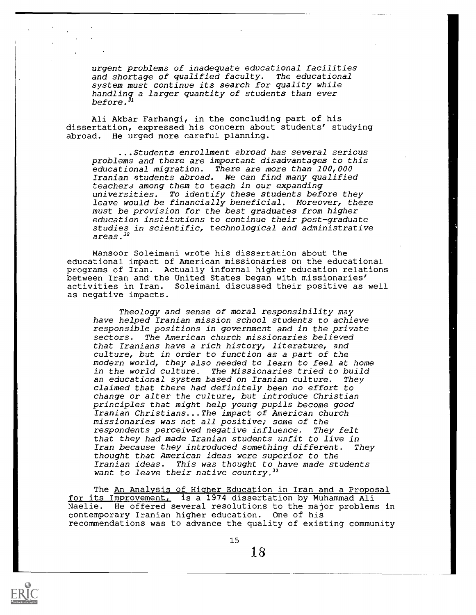urgent problems of inadequate educational facilities and shortage of qualified faculty. The educational system must continue its search for quality while handling a larger quantity of students than ever before. $^{\text{\textit{J1}}}$ 

Ali Akbar Farhangi, in the concluding part of his dissertation, expressed his concern about students' studying abroad. He urged more careful planning.

...Students enrollment abroad has several serious problems and there are important disadvantages to this educational migration. There are more than 100,000 Iranian students abroad. We can find many qualified teachers among them to teach in our expanding universities. To identify these students before they leave would be financially beneficial. Moreover, there must be provision for the best graduates from higher education institutions to continue their post-graduate studies in scientific, technological and administrative areas. <sup>32</sup>

Mansoor Soleimani wrote his dissertation about the educational impact of American missionaries on the educational programs of Iran. Actually informal higher education relations between Iran and the United States began with missionaries' activities in Iran. Soleimani discussed their positive as well as negative impacts.

Theology and sense of moral responsibility may have helped Iranian mission school students to achieve responsible positions in government and in the private sectors. The American church missionaries believed that Iranians have a rich history, literature, and culture, but in order to function as a part of the modern world, they also needed to learn to feel at home The Missionaries tried to build an educational system based on Iranian culture. They claimed that there had definitely been no effort to change or alter the culture, but introduce Christian principles that might help young pupils become good Iranian Christians...The impact of American church missionaries was not all positive; some of the respondents perceived negative influence. They felt that they had made Iranian students unfit to live in Iran because they introduced something different. They thought that American ideas were superior to the Iranian ideas. This was thought to have made students want to leave their native country.  $33$ 

The An Analysis of Higher Education in Iran and a Proposal for its Improvement, is a 1974 dissertation by Muhammad Ali Naelie. He offered several resolutions to the major problems in contemporary Iranian higher education. One of his recommendations was to advance the quality of existing community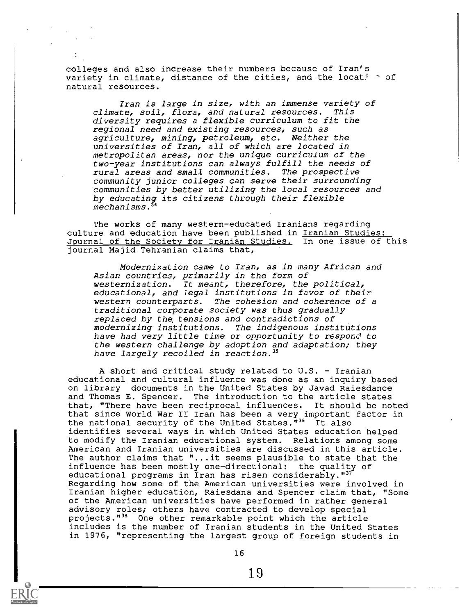colleges and also increase their numbers because of Iran's variety in climate, distance of the cities, and the locat!  $\hat{ }$  of natural resources.

Iran is large in size, with an immense variety of<br>te, soil, flora, and natural resources. This climate, soil, flora, and natural resources. diversity requires a flexible curriculum to fit the regional need and existing resources, such as agriculture, mining, petroleum, etc. Neither the universities of Iran, all of which are located in metropolitan areas, nor the unique curriculum of the two-year institutions can always fulfill the needs of rural areas and small communities. The prospective community junior colleges can serve their surrounding communities by better utilizing the local resources and by educating its citizens through their flexible mechanisms.<sup>34</sup>

The works of many western-educated Iranians regarding culture and education have been published in Iranian Studies: Journal of the Society for Iranian Studies. In one issue of this journal Majid Tehranian claims that,

Modernization came to Iran, as in many African and Asian countries, primarily in the form of westernization. It meant, therefore, the political, educational, and legal institutions in favor of their western counterparts. The cohesion and coherence of a traditional corporate society was thus gradually replaced by the, tensions and contradictions of modernizing institutions. The indigenous institutions have had very little time or opportunity to respond to the western challenge by adoption and adaptation; they have largely recoiled in reaction.<sup>35</sup>

A short and critical study related to  $U.S.$  - Iranian educational and cultural influence was done as an inquiry based on library documents in the United States by Javad Raiesdance and Thomas E. Spencer. The introduction to the article states that, "There have been reciprocal influences. It should be noted that since World War II Iran has been a very important factor in the national security of the United States."<sup>36</sup> It also identifies several ways in which United States education helped to modify the Iranian educational system. Relations among some American and Iranian universities are discussed in this article. The author claims that "...it seems plausible to state that the influence has been mostly one-directional: the quality of educational programs in Iran has risen considerably."<sup>37</sup> Regarding how some of the American universities were involved in Iranian higher education, Raiesdana and Spencer claim that, "Some of the American universities have performed in rather general advisory roles; others have contracted to develop special projects."<sup>38</sup> One other remarkable point which the article includes is the number of Iranian students in the United States in 1976, "representing the largest group of foreign students in

1.9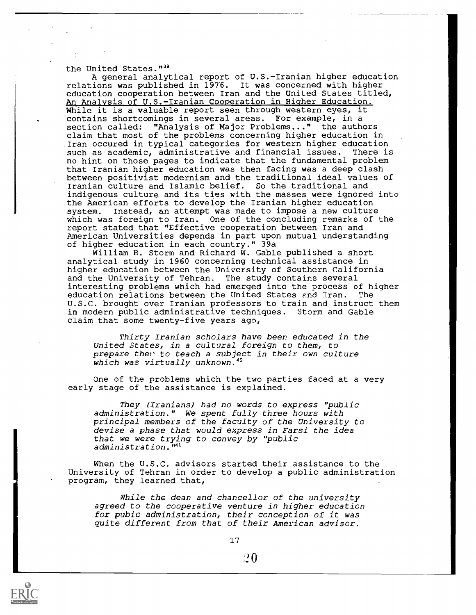#### the United States."<sup>39</sup>

A general analytical report of U.S.-Iranian higher education relations was published in 1976. It was concerned with higher education cooperation between Iran and the United States titled, An Analysis of U.S.-Iranian Cooperation in Higher Education. While it is a valuable report seen through western eyes, it contains shortcomings in several areas. For example, in a section called: "Analysis of Major Problems..." the authors claim that most of the problems concerning higher education in .Iran occured in typical categories for western higher education such as academic, administrative and financial issues. no hint on those pages to indicate that the fundamental problem that Iranian higher education was then facing was a deep clash between positivist modernism and the traditional ideal values of Iranian culture and Islamic belief. So the traditional and indigenous culture and its ties with the masses were ignored into the American efforts to develop the Iranian higher education system. Instead, an attempt was made to impose a new culture which was foreign to Iran. One of the concluding remarks of the report stated that "Effective cooperation between Iran and American Universities depends in part upon mutual understanding of higher education in each country." 39a

William B. Storm and Richard W. Gable published a short analytical study in 1960 concerning technical assistance in higher education between the University of Southern California and the University of Tehran. The study contains several interesting problems which had emerged into the process of higher education relations between the United States and Iran. The U.S.C. brought over Iranian professors to train and instruct them in modern public administrative techniques. Storm and Gable claim that some twenty-five years ago,

Thirty Iranian scholars have been educated in the United States, in a cultural foreign to them, to prepare then to teach a subject in their own culture which was virtually unknown.<sup>40</sup>

One of the problems which the two parties faced at a very early stage of the assistance is explained.

They (Iranians) had no words to express "public administration." We spent fully three hours with principal members of the faculty of the University to devise a phase that would express in Farsi the idea that we were trying to convey by "public administration.<sup>"41</sup>

When the U.S.C. advisors started their assistance to the University of Tehran in order to develop a public administration program, they learned that,

While the dean and chancellor of the university agreed to the cooperative venture in higher education for pubic administration, their conception of it was quite different from that of their American advisor.

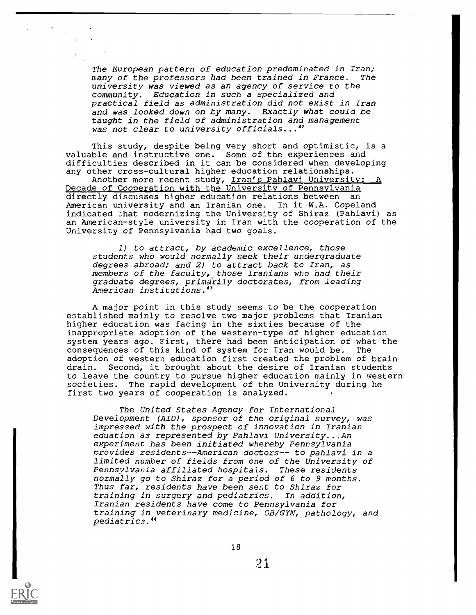The European pattern of education predominated in Iran; many of the professors had been trained in France. The university was viewed as an agency of service to the community. Education in such a specialized and practical field as administration did not exist in Iran and was looked down on by many. Exactly what could be taught in the field of administration and management was not clear to university officials...<sup>42</sup>

This study, despite being very short and optimistic, is a valuable and instructive one. Some of the experiences and difficulties described in it can be considered when developing any other cross-cultural higher education relationships.

Another more recent study, Iran's Pahlavi University: Decade of Cooperation with the University of Pennsylvania directly discusses higher education relations between an American university and an Iranian one. In it W.A. Copeland indicated that modernizing the University of Shiraz (Pahlavi) as an American-style university in Iran with the cooperation of the University of Pennsylvania had two goals.

1) to attract, by academic excellence, those students who would normally seek their undergraduate degrees abroad; and 2) to attract back to Iran, as members of the faculty, those Iranians who had their graduate degrees, primarily doctorates, from leading American institutions.<sup>43</sup>

A major point in this study seems to be the cooperation established mainly to resolve two major problems that Iranian higher education was facing in the sixties because of the inappropriate adoption of the western-type of higher education system years ago. First, there had been anticipation of what the consequences of this kind of system for Iran would be. The adoption of western education first created the problem of brain drain. Second, it brought about the desire of Iranian students to leave the country to pursue higher education mainly in western societies. The rapid development of the University during he first two years of cooperation is analyzed.

The United States Agency for International Development (AID), sponsor of the original survey, was impressed with the prospect of innovation in Iranian eduation as represented by Pahlavi University...An experiment has been initiated whereby Pennsylvania provides residents--American doctors-- to pahlavi in a limited number of fields from one of the University of Pennsylvania affiliated hospitals. These residents normally go to Shiraz for a period of 6 to 9 months. Thus far, residents have been sent to Shiraz for training in surgery and pediatrics. In addition, Iranian residents have come to Pennsylvania for training in veterinary medicine, OB/GYN, pathology, and pediatrics."

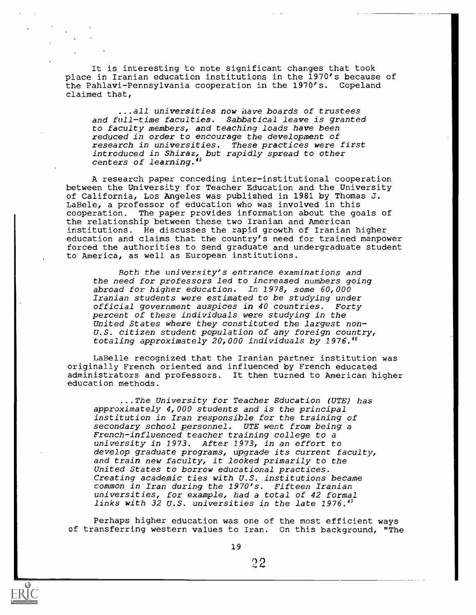It is interesting to note significant changes that took place in Iranian education institutions in the 1970's because of the Pahlavi-Pennsylvania cooperation in the 1970's. Copeland claimed that,

...all universities now have boards of trustees and full-time faculties. Sabbatical leave is granted to faculty members, and teaching loads have been reduced in order to encourage the development of research in universities. These practices were first introduced in Shiraz, but rapidly spread to other centers of learning."

A research paper conceding inter-institutional cooperation between the University for Teacher Education and the University of California, Los Angeles was published in 1981 by Thomas J. LaBele, a professor of education who was involved in this cooperation. The paper provides information about the goals of the relationship between these two Iranian and American institutions. He discusses the rapid growth of Iranian higher education and claims that the country's need for trained manpower forced the authorities to send graduate and undergraduate student to America, as well as European institutions.

Both the university's entrance examinations and the need for professors led to increased numbers going abroad for higher education. In 1978, some 60,000 Iranian students were estimated to be studying under official government auspices in 40 countries. Forty percent of these individuals were studying in the United States where they constituted the largest non-U.S. citizen student population of any foreign country, totaling approximately 20;000 individuals by 1976.46

LaBelle recognized that the Iranian partner institution was originally French oriented and influenced by French educated administrators and professors. It then turned to American higher education methods.

...The University for Teacher Education (UTE) has approximately 4,000 students and is the principal institution in Iran responsible for the training of secondary school personnel. UTE went from being a French-influenced teacher training college to a university in 1973. After 1973, in an effort to develop graduate programs, upgrade its current faculty, and train new faculty, it looked primarily to the United States to borrow educational practices. Creating academic ties with U.S. institutions became common in Iran during the 1970's. Fifteen Iranian universities, for example, had a total of 42 formal links with 32 U.S. universities in the late 1976.47

Perhaps higher education was one of the most efficient ways of transferring western values to Iran. On this background, "The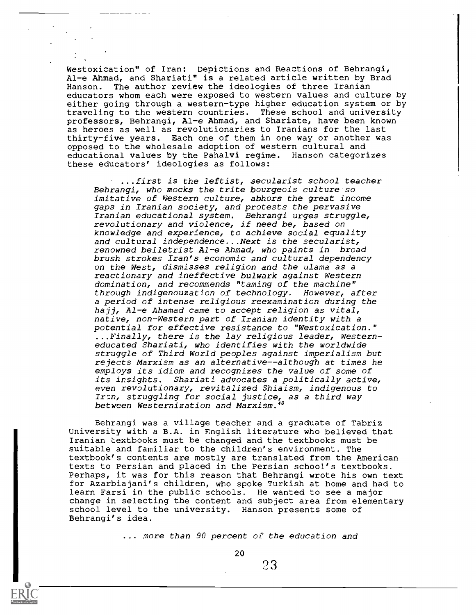Westoxication" of Iran: Depictions and Reactions of Behrangi, Al-e Ahmad, and Shariati" is a related article written by Brad Hanson. The author review the ideologies of three Iranian educators whom each were exposed to western values and culture by either going through a western-type higher education system or by traveling to the western countries. These school and university professors, Behrangi, Al-e Ahmad, and Shariate, have been known as heroes as well as revolutionaries to Iranians for the last thirty-five years. Each one of them in one way or another was opposed to the wholesale adoption of western cultural and educational values by the Pahalvi regime. Hanson categorizes these educators' ideologies as follows:

...first is the leftist, secularist school teacher Behrangi, who mocks the trite bourgeois culture so imitative of Western culture, abhors the great income gaps in Iranian society, and protests the pervasive Iranian educational system. Behrangi urges struggle, revolutionary and violence, if need be, based on knowledge and experience, to achieve social equality and cultural independence...Next is the secularist, renowned beiletrist Al-e Ahmad, who paints in broad brush strokes Iran's economic and cultural dependency on the West, dismisses religion and the ulama as a reactionary and ineffective bulwark against Western domination, and recommends "taming of the machine" through indigenouzation of technology. However, after a period of intense religious reexamination during the hajj, Al-e Ahamad came to accept religion as vital, native, non-Western part of Iranian identity with a potential for effective resistance to "Westoxication." ...Finally, there is the lay religious leader, Westerneducated Shariati, who identifies with the worldwide struggle of Third World peoples against imperialism but rejects Marxism as an alternative--although at times he employs its idiom and recognizes the value of some of its insights. Shariati advocates a politically active, even revolutionary, revitalized Shiaism, indigenous to Ir:n, struggling for social justice, as a third way between Westernization and Marxism."

Behrangi was a village teacher and a graduate of Tabriz University with a B.A. in English literature who believed that Iranian textbooks must be changed and the textbooks must be suitable and familiar to the children's environment. The textbook's contents are mostly are translated from the American texts to Persian and placed in the Persian school's textbooks. Perhaps, it was for this reason that Behrangi wrote his own text for Azarbiajani's children, who spoke Turkish at home and had to learn Farsi in the public schools. He wanted to see a major change in selecting the content and subject area from elementary school level to the university. Hanson presents some of Behrangi's idea.

... more than 90 percent of the education and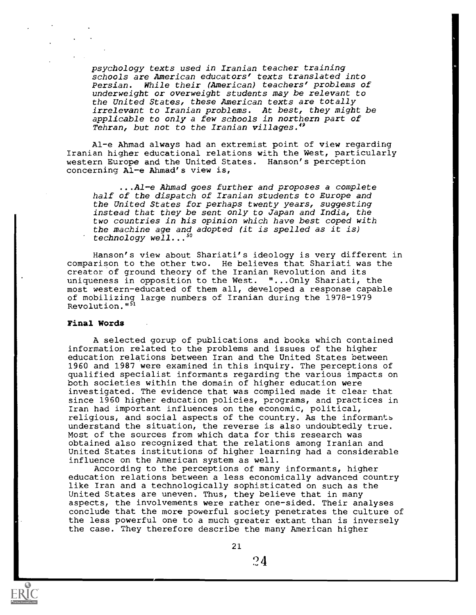psychology texts used in Iranian teacher training schools are American educators' texts translated into Persian. While their (American) teachers' problems of underweight or overweight students may be relevant to the United States, these American texts are totally irrelevant to Iranian problems. At best, they might be applicable to only a few schools in northern part of Tehran, but not to the Iranian villages.<sup>49</sup>

Al-e Ahmad always had an extremist point of view regarding Iranian higher educational relations with the West, particularly western Europe and the United States. Hanson's perception concerning Al-e Ahmad's view is,

...Al-e Ahmad goes further and proposes a complete half of the dispatch of Iranian students to Europe and the United States for perhaps twenty years, suggesting instead that they be sent only to Japan and India, the two countries in his opinion which have best coped with the machine age and adopted (it is spelled as it is) technology well... $^{50}$ 

Hanson's view about Shariati's ideology is very different in comparison to the other two. He believes that Shariati was the creator of ground theory of the Iranian Revolution and its uniqueness in opposition to the West. "...Only Shariati, the most western-educated of them all, developed a response capable of mobilizing large numbers of Iranian during the 1978-1979 Revolution."51

### Final Words

A selected gorup of publications and books which contained information related to the problems and issues of the higher education relations between Iran and the United States between 1960 and 1987 were examined in this inquiry. The perceptions of qualified specialist informants regarding the various impacts on both societies within the domain of higher education were investigated. The evidence that was compiled made it clear that since 1960 higher education policies, programs, and practices in Iran had important influences on the economic, political, religious, and social aspects of the country. As the informants understand the situation, the reverse is also undoubtedly true. Most of the sources from which data for this research was obtained also recognized that the relations among Iranian and United States institutions of higher learning had a considerable influence on the American system as well.

According to the perceptions of many informants, higher education relations between a less economically advanced country like Iran and a technologically sophisticated on such as the United States are uneven. Thus, they believe that in many aspects, the involvements were rather one-sided. Their analyses conclude that the more powerful society penetrates the culture of the less powerful one to a much greater extant than is inversely the case. They therefore describe the many American higher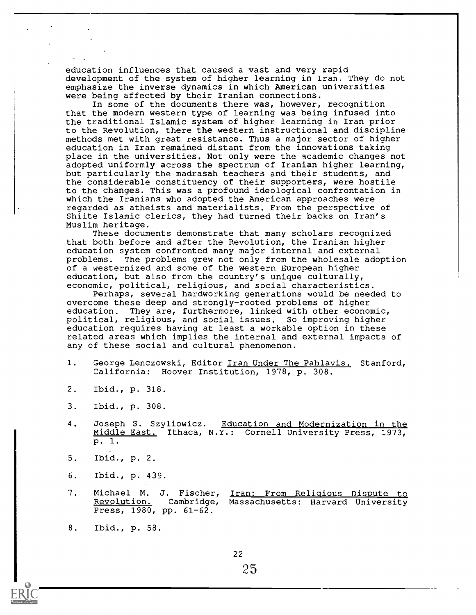education influences that caused a vast and very rapid development of the system of higher learning in Iran. They do not emphasize the inverse dynamics in which American universities were being affected by their Iranian connections.

In some of the documents there was, however, recognition that the modern western type of learning was being infused into the traditional Islamic system of higher learning in Iran prior to the Revolution, there the western instructional and discipline methods met with great resistance. Thus a major sector of higher education in Iran remained distant from the innovations taking place in the universities. Not only were the academic changes not adopted uniformly across the spectrum of Iranian higher learning, but particularly the madrasah teachers and their students, and the considerable constituency of their supporters, were hostile to the changes. This was a profound ideological confrontation in which the Iranians who adopted the American approaches were regarded as atheists and materialists. From the perspective of Shiite Islamic clerics, they had turned their backs on Iran's Muslim heritage.

These documents demonstrate that many scholars recognized that both before and after the Revolution, the Iranian higher education system confronted many major internal and external problems. The problems grew not only from the wholesale adoption of a westernized and some of the Western European higher education, but also from the country's unique culturally, economic, political, religious, and social characteristics.

Perhaps, several hardworking generations would be needed to overcome these deep and strongly-rooted problems of higher education, They are, furthermore, linked with other economic, political, religious, and social issues. So improving higher education requires having at least a workable option in these related areas which implies the internal and external impacts of any of these social and cultural phenomenon.

- 1. George Lenczowski, Editor Iran Under The Pahlavis. Stanford, California: Hoover Institution, 1978, p. 308.
- 2. Ibid., p. 318.
- 3. Ibid., p. 308.
- 4. Joseph S. Szyliowicz. Education and Modernization in the Middle East. Ithaca, N.Y.: Cornell University Press, 1973, p. 1.
- 5. Ibid., p. 2.
- 6. Ibid., p. 439.
- 7. Michael M. J. Fischer, <u>Iran: From Reliqious Dispute to</u><br>Revolution. Cambridge, Massachusetts: Harvard University Cambridge, Massachusetts: Harvard University Press, 1980, pp. 61-62.
- 8. Ibid., p. 58.

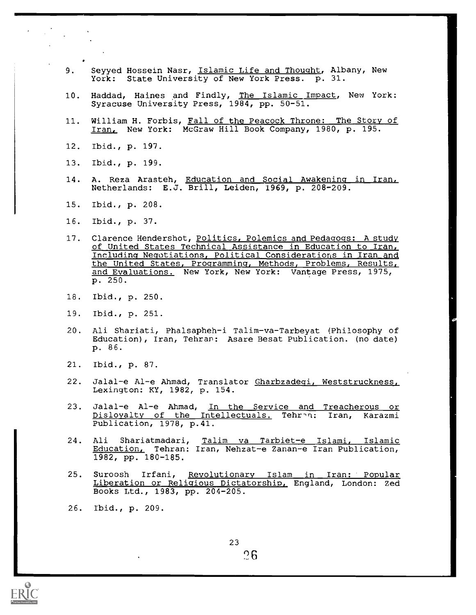- 9. Seyyed Hossein Nasr, Islamic Life and Thought, Albany, New York: State University of New York Press. p. 31.
- 10. Haddad, Haines and Findly, The Islamic Impact, New York: Syracuse University Press, 1984, pp. 50-51.
- 11. William H. Forbis, Fall of the Peacock Throne: The Story of Iran, New York: McGraw Hill Book Company, 1980, p. 195.
- 12. Ibid., p. 197.
- 13. Ibid., p. 199.
- 14. A. Reza Arasteh, <u>Education and Social Awakening in Iran,</u> Netherlands: E.J. Brill, Leiden, 1969, p. 208-209.
- 15. Ibid., p. 208.
- 16. Ibid., p. 37.
- 17. Clarence Hendershot, Politics, Polemics and Pedagogs: A study of United States Technical Assistance in Education to Iran, Including Negotiations, Political Considerations in Iran and the United States, Programming, Methods, Problems, Results, and Evaluations. New York, New York: Vantage Press, 1975, p. 250.
- 18. Ibid., p. 250.
- 19. Ibid., p. 251.
- 20. Ali Shariati, Phalsapheh-i Talim-va-Tarbeyat (Philosophy of Education), Iran, Tehran: Asare Besat Publication. (no date) p. 86.
- 21. Ibid., p. 87.
- 22. Jalal-e Al-e Ahmad, Translator Gharbzadeqi, Weststruckness, Lexington: KY, 1982, p. 154.
- 23. Jalal-e Al-e Ahmad, In the Service and Treacherous or Disloyalty of the Intellectuals. Tehran: Iran, Karazmi Publication, 1978, p.41.
- 24. Ali Shariatmadari, Talim va Tarbiet-e Islami, Islamic Education, Tehran: Iran, Nehzat-e Zanan-e Iran Publication, 1982, pp. 180-185.
- 25. Suroosh Irfani, Revolutionary Islam in Iran: Popular Liberation or Religious Dictatorship, England, London: Zed Books Ltd., 1983, pp. 204-205.
- 26. Ibid., p. 209.

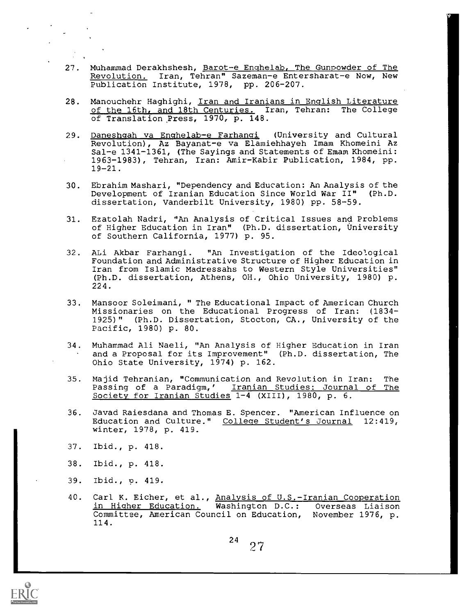- 27. Muhammad Derakhshesh, Barot-e Enghelab, The Gunpowder of The Revolution. Iran, Tehran" Sazeman-e Entersharat-e Now, New Publication Institute, 1978, pp. 206-207.
- 28. Manouchehr Haghighi, Iran and Iranians in English Literature of the 16th, and 18th Centuries. Iran, Tehran: The College of Translation Press, 1970, p. 148.
- 29. Daneshgah va Enghelab-e Farhangi (University and Cultural Revolution), Az Bayanat-e va Elamiehhayeh Imam Khomeini Az Sal-e 1341-1361, (The Sayings and Statements of Emam Khomeini: 1963-1983), Tehran, Iran: Amir-Kabir Publication, 1984, pp. 19-21.
- 30. Ebrahim Mashari, "Dependency and Education: An Analysis of the<br>Development of Iranian Education Since World War II" (Ph.D. Development of Iranian Education Since World War II" dissertation, Vanderbilt University, 1980) pp. 58-59.
- 31. Ezatolah Nadri, "An Analysis of Critical Issues and Problems of Higher Education in Iran" (Ph.D. dissertation, University of Southern California, 1977) p. 95.
- 32. ALi Akbar Farhangi. "An Investigation of the Ideological Foundation and Administrative Structure of Higher Education in Iran from Islamic Madressahs to Western Style Universities" (Ph.D. dissertation, Athens, OH., Ohio University, 1980) p. 224.
- 33. Mansoor Soleimani, " The Educational Impact of American Church Missionaries on the Educational Progress of Iran: (1834- 1925)" (Ph.D. Dissertation, Stocton, CA., University of the Pacific, 1980) p. 80.
- 34. Muhammad Ali Naeli, "An Analysis of Higher Education in Iran and a Proposal for its Improvement" (Ph.D. dissertation, The Ohio State University, 1974) p. 162.
- 35. Majid Tehranian, "Communication and Revolution in Iran: The Passing of a Paradigm,' Iranian Studies: Journal of The Society for Iranian Studies 1-4 (XIII), 1980, p. 6.
- 36. Javad Raiesdana and Thomas E. Spencer. "American Influence on Education and Culture." College Student's Journal 12:419, winter, 1978, p. 419.
- 37. Ibid., p. 418.
- 38. Ibid., p. 418.
- 39. Ibid., p. 419.
- 40. Carl K. Eicher, et al., Analysis of U.S.-Iranian Cooperation<br>in Higher Education. Washington D.C.: Overseas Liaison in Higher Education. Washington D.C.: Committee, American Council on Education, November 1976, p. 114.